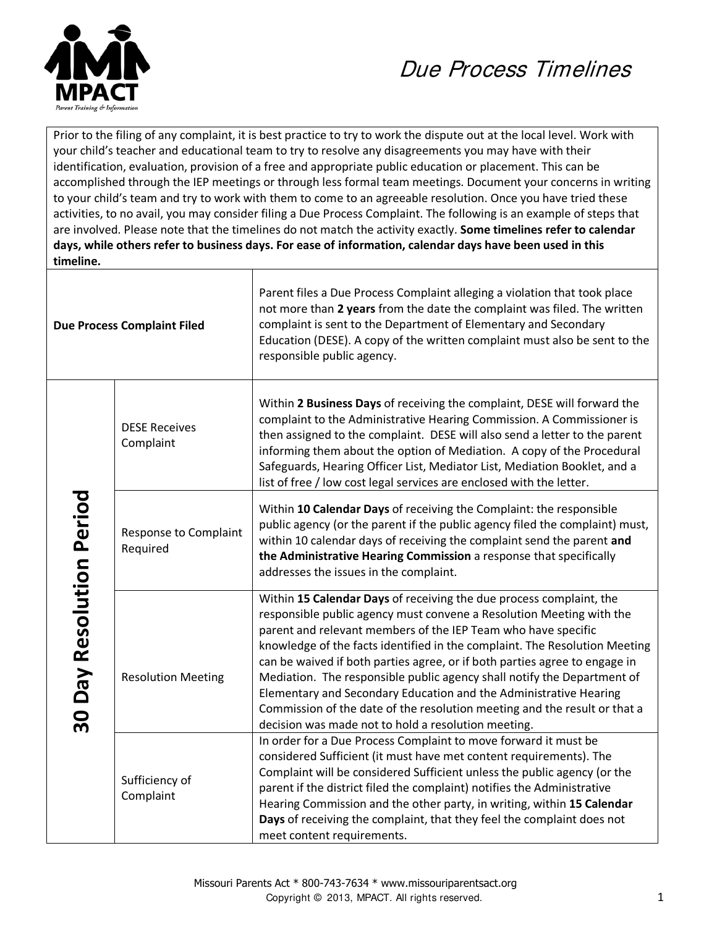

## Due Process Timelines

Prior to the filing of any complaint, it is best practice to try to work the dispute out at the local level. Work with your child's teacher and educational team to try to resolve any disagreements you may have with their identification, evaluation, provision of a free and appropriate public education or placement. This can be accomplished through the IEP meetings or through less formal team meetings. Document your concerns in writing to your child's team and try to work with them to come to an agreeable resolution. Once you have tried these activities, to no avail, you may consider filing a Due Process Complaint. The following is an example of steps that are involved. Please note that the timelines do not match the activity exactly. **Some timelines refer to calendar days, while others refer to business days. For ease of information, calendar days have been used in this timeline.**

| <b>Due Process Complaint Filed</b> |                                   | Parent files a Due Process Complaint alleging a violation that took place<br>not more than 2 years from the date the complaint was filed. The written<br>complaint is sent to the Department of Elementary and Secondary<br>Education (DESE). A copy of the written complaint must also be sent to the<br>responsible public agency.                                                                                                                                                                                                                                                                                                                         |
|------------------------------------|-----------------------------------|--------------------------------------------------------------------------------------------------------------------------------------------------------------------------------------------------------------------------------------------------------------------------------------------------------------------------------------------------------------------------------------------------------------------------------------------------------------------------------------------------------------------------------------------------------------------------------------------------------------------------------------------------------------|
|                                    | <b>DESE Receives</b><br>Complaint | Within 2 Business Days of receiving the complaint, DESE will forward the<br>complaint to the Administrative Hearing Commission. A Commissioner is<br>then assigned to the complaint. DESE will also send a letter to the parent<br>informing them about the option of Mediation. A copy of the Procedural<br>Safeguards, Hearing Officer List, Mediator List, Mediation Booklet, and a<br>list of free / low cost legal services are enclosed with the letter.                                                                                                                                                                                               |
|                                    | Response to Complaint<br>Required | Within 10 Calendar Days of receiving the Complaint: the responsible<br>public agency (or the parent if the public agency filed the complaint) must,<br>within 10 calendar days of receiving the complaint send the parent and<br>the Administrative Hearing Commission a response that specifically<br>addresses the issues in the complaint.                                                                                                                                                                                                                                                                                                                |
| 30 Day Resolution Period           | <b>Resolution Meeting</b>         | Within 15 Calendar Days of receiving the due process complaint, the<br>responsible public agency must convene a Resolution Meeting with the<br>parent and relevant members of the IEP Team who have specific<br>knowledge of the facts identified in the complaint. The Resolution Meeting<br>can be waived if both parties agree, or if both parties agree to engage in<br>Mediation. The responsible public agency shall notify the Department of<br>Elementary and Secondary Education and the Administrative Hearing<br>Commission of the date of the resolution meeting and the result or that a<br>decision was made not to hold a resolution meeting. |
|                                    | Sufficiency of<br>Complaint       | In order for a Due Process Complaint to move forward it must be<br>considered Sufficient (it must have met content requirements). The<br>Complaint will be considered Sufficient unless the public agency (or the<br>parent if the district filed the complaint) notifies the Administrative<br>Hearing Commission and the other party, in writing, within 15 Calendar<br>Days of receiving the complaint, that they feel the complaint does not<br>meet content requirements.                                                                                                                                                                               |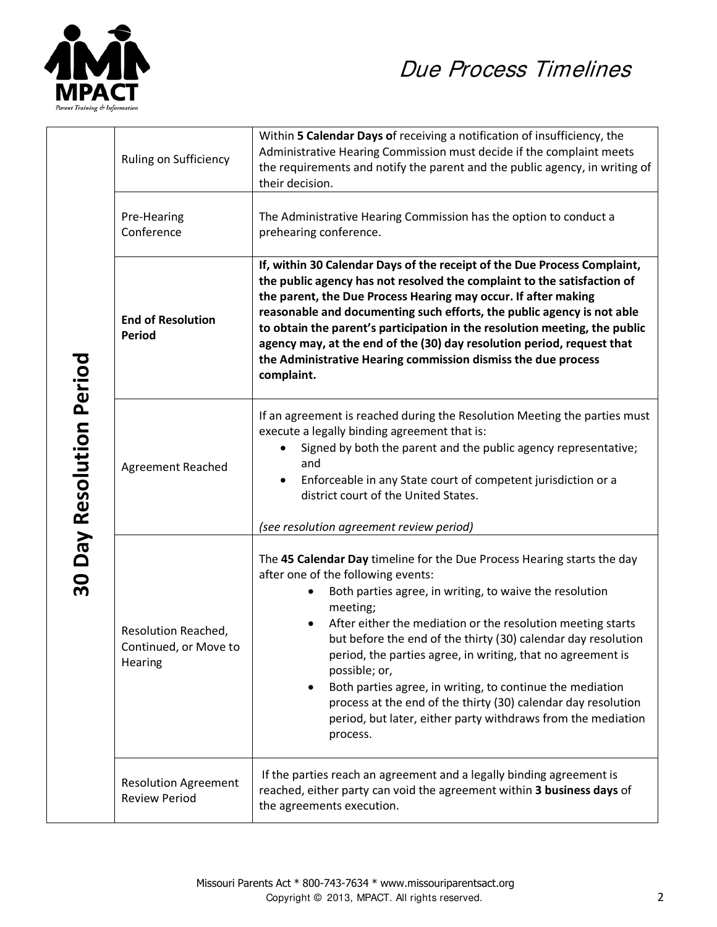

## Due Process Timelines

|  | Ruling on Sufficiency                                   | Within 5 Calendar Days of receiving a notification of insufficiency, the<br>Administrative Hearing Commission must decide if the complaint meets<br>the requirements and notify the parent and the public agency, in writing of<br>their decision.                                                                                                                                                                                                                                                                                                                                                             |
|--|---------------------------------------------------------|----------------------------------------------------------------------------------------------------------------------------------------------------------------------------------------------------------------------------------------------------------------------------------------------------------------------------------------------------------------------------------------------------------------------------------------------------------------------------------------------------------------------------------------------------------------------------------------------------------------|
|  | Pre-Hearing<br>Conference                               | The Administrative Hearing Commission has the option to conduct a<br>prehearing conference.                                                                                                                                                                                                                                                                                                                                                                                                                                                                                                                    |
|  | <b>End of Resolution</b><br><b>Period</b>               | If, within 30 Calendar Days of the receipt of the Due Process Complaint,<br>the public agency has not resolved the complaint to the satisfaction of<br>the parent, the Due Process Hearing may occur. If after making<br>reasonable and documenting such efforts, the public agency is not able<br>to obtain the parent's participation in the resolution meeting, the public<br>agency may, at the end of the (30) day resolution period, request that<br>the Administrative Hearing commission dismiss the due process<br>complaint.                                                                         |
|  | Agreement Reached                                       | If an agreement is reached during the Resolution Meeting the parties must<br>execute a legally binding agreement that is:<br>Signed by both the parent and the public agency representative;<br>and<br>Enforceable in any State court of competent jurisdiction or a<br>district court of the United States.<br>(see resolution agreement review period)                                                                                                                                                                                                                                                       |
|  | Resolution Reached,<br>Continued, or Move to<br>Hearing | The 45 Calendar Day timeline for the Due Process Hearing starts the day<br>after one of the following events:<br>Both parties agree, in writing, to waive the resolution<br>meeting;<br>After either the mediation or the resolution meeting starts<br>but before the end of the thirty (30) calendar day resolution<br>period, the parties agree, in writing, that no agreement is<br>possible; or,<br>Both parties agree, in writing, to continue the mediation<br>process at the end of the thirty (30) calendar day resolution<br>period, but later, either party withdraws from the mediation<br>process. |
|  | <b>Resolution Agreement</b><br><b>Review Period</b>     | If the parties reach an agreement and a legally binding agreement is<br>reached, either party can void the agreement within 3 business days of<br>the agreements execution.                                                                                                                                                                                                                                                                                                                                                                                                                                    |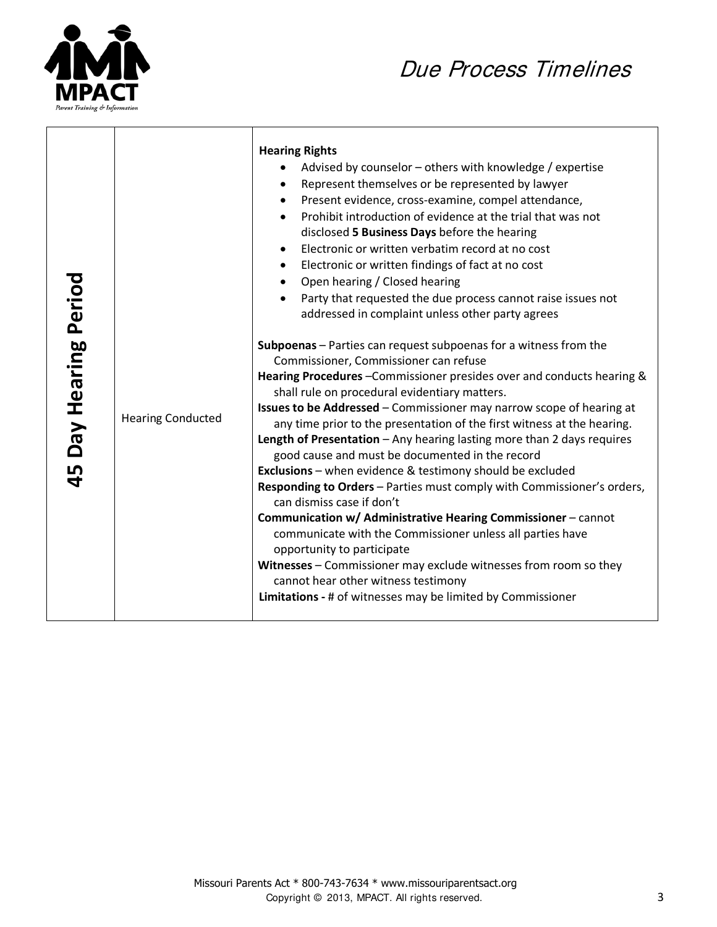

 $\blacksquare$ 

## Due Process Timelines

| Day Hearing Period<br>45 | <b>Hearing Conducted</b> | <b>Hearing Rights</b><br>Advised by counselor – others with knowledge / expertise<br>Represent themselves or be represented by lawyer<br>Present evidence, cross-examine, compel attendance,<br>Prohibit introduction of evidence at the trial that was not<br>disclosed 5 Business Days before the hearing<br>Electronic or written verbatim record at no cost<br>$\bullet$<br>Electronic or written findings of fact at no cost<br>٠<br>Open hearing / Closed hearing<br>$\bullet$<br>Party that requested the due process cannot raise issues not<br>$\bullet$<br>addressed in complaint unless other party agrees<br>Subpoenas - Parties can request subpoenas for a witness from the<br>Commissioner, Commissioner can refuse<br>Hearing Procedures - Commissioner presides over and conducts hearing &<br>shall rule on procedural evidentiary matters.<br>Issues to be Addressed - Commissioner may narrow scope of hearing at<br>any time prior to the presentation of the first witness at the hearing.<br>Length of Presentation - Any hearing lasting more than 2 days requires<br>good cause and must be documented in the record<br>Exclusions - when evidence & testimony should be excluded<br>Responding to Orders - Parties must comply with Commissioner's orders,<br>can dismiss case if don't<br>Communication w/ Administrative Hearing Commissioner - cannot<br>communicate with the Commissioner unless all parties have<br>opportunity to participate<br>Witnesses - Commissioner may exclude witnesses from room so they<br>cannot hear other witness testimony |
|--------------------------|--------------------------|------------------------------------------------------------------------------------------------------------------------------------------------------------------------------------------------------------------------------------------------------------------------------------------------------------------------------------------------------------------------------------------------------------------------------------------------------------------------------------------------------------------------------------------------------------------------------------------------------------------------------------------------------------------------------------------------------------------------------------------------------------------------------------------------------------------------------------------------------------------------------------------------------------------------------------------------------------------------------------------------------------------------------------------------------------------------------------------------------------------------------------------------------------------------------------------------------------------------------------------------------------------------------------------------------------------------------------------------------------------------------------------------------------------------------------------------------------------------------------------------------------------------------------------------------------------------------------------|
|                          |                          | Limitations - # of witnesses may be limited by Commissioner                                                                                                                                                                                                                                                                                                                                                                                                                                                                                                                                                                                                                                                                                                                                                                                                                                                                                                                                                                                                                                                                                                                                                                                                                                                                                                                                                                                                                                                                                                                              |

⊤